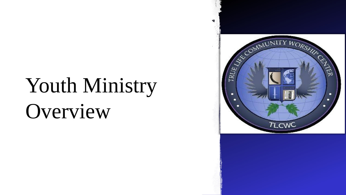# Youth Ministry Overview

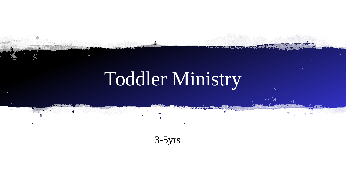# Toddler Ministry

 $3-5yrs$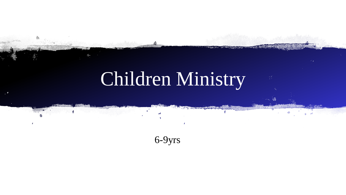# Children Ministry

6-9yrs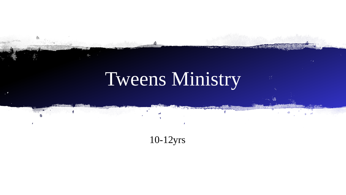# Tweens Ministry

10-12yrs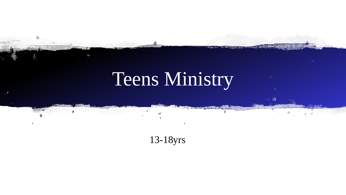# Teens Ministry

13-18yrs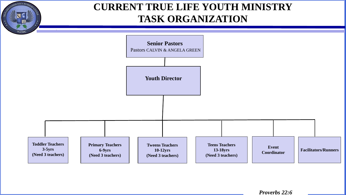

## **CURRENT TRUE LIFE YOUTH MINISTRY TASK ORGANIZATION**

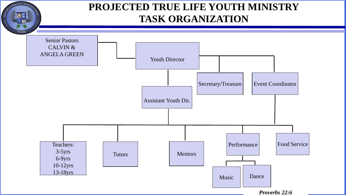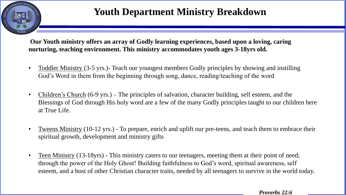

## **Youth Department Ministry Breakdown**

**Our Youth ministry offers an array of Godly learning experiences, based upon a loving, caring nurturing, teaching environment. This ministry accommodates youth ages 3-18yrs old.**

- Toddler Ministry (3-5 yrs.)- Teach our youngest members Godly principles by showing and instilling God's Word in them from the beginning through song, dance, reading/teaching of the word
- Children's Church (6-9 yrs.) The principles of salvation, character building, self esteem, and the Blessings of God through His holy word are a few of the many Godly principles taught to our children here at True Life.
- Tweens Ministry (10-12 yrs.) To prepare, enrich and uplift our pre-teens, and teach them to embrace their spiritual growth, development and ministry gifts
- Teen Ministry (13-18yrs) This ministry caters to our teenagers, meeting them at their point of need; through the power of the Holy Ghost! Building faithfulness to God's word, spiritual awareness, self esteem, and a host of other Christian character traits, needed by all teenagers to survive in the world today.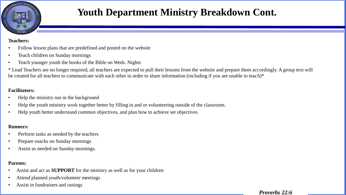

## **Youth Department Ministry Breakdown Cont.**

#### **Teachers:**

- Follow lesson plans that are predefined and posted on the website
- Teach children on Sunday mornings
- Teach younger youth the books of the Bible on Weds. Nights

\* Lead Teachers are no longer required, all teachers are expected to pull their lessons from the website and prepare them accordingly. A group text will be created for all teachers to communicate with each other in order to share information (including if you are unable to teach)\*

#### **Facilitators:**

- Help the ministry run in the background
- Help the youth ministry work together better by filling in and or volunteering outside of the classroom.
- Help youth better understand common objectives, and plan how to achieve set objectives

#### **Runners:**

- Perform tasks as needed by the teachers
- Prepare snacks on Sunday mornings
- Assist as needed on Sunday mornings.

#### **Parents:**

- Assist and act as **SUPPORT** for the ministry as well as for your children
- Attend planned youth/volunteer meetings
- Assist in fundraisers and outings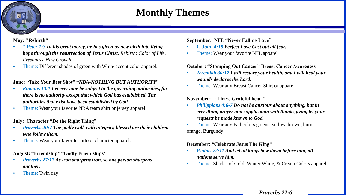## **Monthly Themes**

**May: "Rebirth"** 

NITY We

- *1 Peter 1:3 In his great mercy, he has given us new birth into living hope through the resurrection of Jesus Christ. Rebirth: Color of Life, Freshness, New Growth*
- Theme: Different shades of green with White accent color apparel.

#### **June: "Take Your Best Shot" "***NBA-NOTHING BUT AUTHORITY*"

- *Romans 13:1 Let everyone be subject to the governing authorities, for there is no authority except that which God has established. The authorities that exist have been established by God.*
- Theme: Wear your favorite NBA team shirt or jersey apparel.

#### **July: Character "Do the Right Thing"**

- *Proverbs 20:7 The godly walk with integrity, blessed are their children who follow them.*
- Theme: Wear your favorite cartoon character apparel.

#### **August: "Friendship" "Godly Friendships"**

- *Proverbs 27:17 As iron sharpens iron, so one person sharpens another.*
- Theme: Twin day

**September: NFL "Never Falling Love"**

- *1: John 4:18 Perfect Love Cast out all fear.*
- Theme: Wear your favorite NFL apparel

#### **October: "Stomping Out Cancer" Breast Cancer Awareness**

- *Jeremiah 30:17 I will restore your health, and I will heal your wounds declares the Lord.*
- Theme: Wear any Breast Cancer Shirt or apparel.

#### **November: " I have Grateful heart**"

- *Philippians 4:6-7 Do not be anxious about anything, but in everything prayer and supplication with thanksgiving let your requests be made known to God.*
- Theme: Wear any Fall colors greens, yellow, brown, burnt orange, Burgundy

#### **December: "Celebrate Jesus The King"**

- *Psalms 72:11 And let all kings bow down before him, all nations serve him.*
- Theme: Shades of Gold, Winter White, & Cream Colors apparel.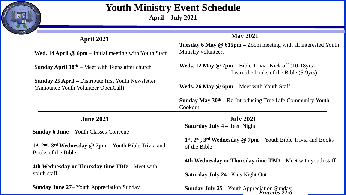

### **Youth Ministry Event Schedule April – July 2021**

| <b>April 2021</b>                                                                                 | <b>May 2021</b><br><b>Tuesday 6 May <math>\omega</math> 615pm – Zoom meeting with all interested Youth</b><br>Ministry volunteers |  |  |
|---------------------------------------------------------------------------------------------------|-----------------------------------------------------------------------------------------------------------------------------------|--|--|
| <b>Wed. 14 April @ 6pm</b> – Initial meeting with Youth Staff                                     |                                                                                                                                   |  |  |
| <b>Sunday April <math>18th</math></b> – Meet with Teens after church                              | <b>Weds. 12 May @ 7pm</b> – Bible Trivia Kick off $(10-18\gamma rs)$<br>Learn the books of the Bible (5-9yrs)                     |  |  |
| <b>Sunday 25 April – Distribute first Youth Newsletter</b><br>(Announce Youth Volunteer OpenCall) | <b>Weds. 26 May @ 6pm</b> $-$ Meet with Youth Staff                                                                               |  |  |
|                                                                                                   | <b>Sunday May <math>30th - Re-Introducing True Life Community Youth</math></b><br>Cookout                                         |  |  |
| <b>June 2021</b>                                                                                  | <b>July 2021</b>                                                                                                                  |  |  |
| <b>Sunday 6 June</b> – Youth Classes Convene                                                      | <b>Saturday July 4 – Teen Night</b>                                                                                               |  |  |
| $1st$ , $2nd$ , $3rd$ Wednesday @ 7pm – Youth Bible Trivia and<br>Books of the Bible              | 1 <sup>st</sup> , 2 <sup>nd</sup> , 3 <sup>rd</sup> Wednesday @ 7pm – Youth Bible Trivia and Books<br>of the Bible                |  |  |
| 4th Wednesday or Thursday time TBD – Meet with                                                    | 4th Wednesday or Thursday time TBD – Meet with youth staff                                                                        |  |  |
| youth staff                                                                                       | <b>Saturday July 24– Kids Night Out</b>                                                                                           |  |  |
| <b>Sunday June 27– Youth Appreciation Sunday</b>                                                  | Sunday July 25 – Youth Appreciation Sunday                                                                                        |  |  |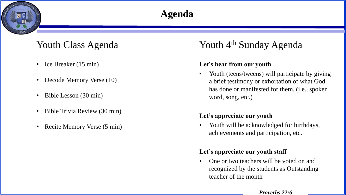# $NITYW_0$

# **Agenda**

- Ice Breaker (15 min)
- Decode Memory Verse (10)
- Bible Lesson (30 min)
- Bible Trivia Review (30 min)
- Recite Memory Verse (5 min)

## Youth Class Agenda Sunday Agenda

#### **Let's hear from our youth**

• Youth (teens/tweens) will participate by giving a brief testimony or exhortation of what God has done or manifested for them. (i.e., spoken word, song, etc.)

#### **Let's appreciate our youth**

• Youth will be acknowledged for birthdays, achievements and participation, etc.

#### **Let's appreciate our youth staff**

• One or two teachers will be voted on and recognized by the students as Outstanding teacher of the month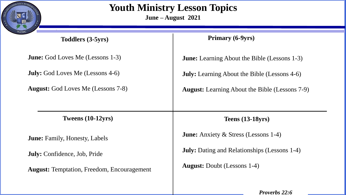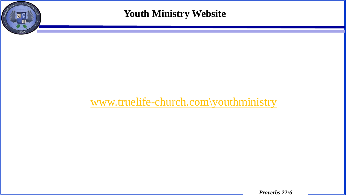

**Youth Ministry Website**

# [www.truelife-church.com\youthministry](http://www.truelife-church.com/youthministry)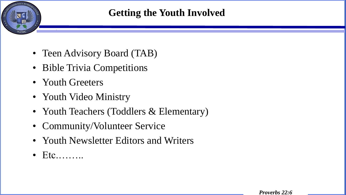

- Teen Advisory Board (TAB)
- Bible Trivia Competitions
- Youth Greeters
- Youth Video Ministry
- Youth Teachers (Toddlers & Elementary)
- Community/Volunteer Service
- Youth Newsletter Editors and Writers
- $\bullet$  Etc........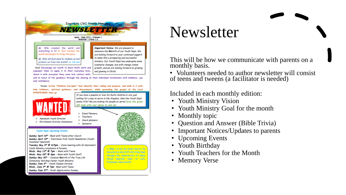

# Newsletter

This will be how we communicate with parents on a monthly basis.

• Volunteers needed to author newsletter will consist of teens and tweens (a facilitator is needed)

Included in each monthly edition:

- Youth Ministry Vision
- Youth Ministry Goal for the month
- Monthly topic
- Question and Answer (Bible Trivia)
- Important Notices/Updates to parents
- Upcoming Events
- Youth Birthday
- Youth Teachers for the Month
- Memory Verse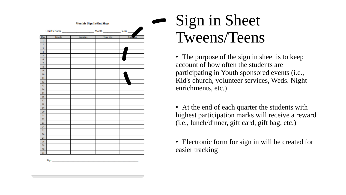| Date                    | Time In | Signature | Time Out | r <sub>e</sub><br>Sign |
|-------------------------|---------|-----------|----------|------------------------|
| $\bf{1}$                |         |           |          |                        |
| $\overline{2}$          |         |           |          |                        |
| 3                       |         |           |          |                        |
| $\overline{\mathbf{4}}$ |         |           |          |                        |
| 5                       |         |           |          |                        |
| 6                       |         |           |          |                        |
| $\overline{7}$          |         |           |          |                        |
| $\bf 8$                 |         |           |          |                        |
| $\overline{9}$          |         |           |          |                        |
| 10                      |         |           |          |                        |
| $\mathbf{11}$           |         |           |          |                        |
| 12                      |         |           |          |                        |
| 13                      |         |           |          |                        |
| 14                      |         |           |          |                        |
| 15                      |         |           |          |                        |
| 16                      |         |           |          |                        |
| 17                      |         |           |          |                        |
| 18                      |         |           |          |                        |
| 19                      |         |           |          |                        |
| 20                      |         |           |          |                        |
| 21                      |         |           |          |                        |
| 22                      |         |           |          |                        |
| 23                      |         |           |          |                        |
| 24                      |         |           |          |                        |
| 25                      |         |           |          |                        |
| 26                      |         |           |          |                        |
| 27                      |         |           |          |                        |
| 28                      |         |           |          |                        |
| 29                      |         |           |          |                        |
| 30                      |         |           |          |                        |
| 31                      |         |           |          |                        |

# - Sign in Sheet Tweens/Teens

• The purpose of the sign in sheet is to keep account of how often the students are participating in Youth sponsored events (i.e., Kid's church, volunteer services, Weds. Night enrichments, etc.)

• At the end of each quarter the students with highest participation marks will receive a reward (i.e., lunch/dinner, gift card, gift bag, etc.)

• Electronic form for sign in will be created for easier tracking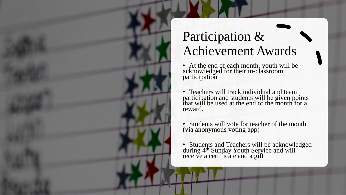

# Participation & Achievement Awards

- At the end of each month, youth will be acknowledged for their in-classroom participation
- Teachers will track individual and team participation and students will be given points that will be used at the end of the month for a reward.
- Students will vote for teacher of the month (via anonymous voting app)
- Students and Teachers will be acknowledged during 4<sup>th</sup> Sunday Youth Service and will receive a certificate and a gift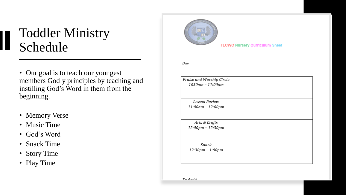# Toddler Ministry Schedule

- Our goal is to teach our youngest members Godly principles by teaching and instilling God's Word in them from the beginning.
- Memory Verse
- Music Time
- God's Word
- Snack Time
- Story Time
- Play Time



**TLCWC Nursery Curriculum Sheet** 

Date

| Praise and Worship Circle |  |
|---------------------------|--|
| 1030am - 11:00am          |  |
|                           |  |
| Lesson Review             |  |
| 11:00am - 12:00pm         |  |
|                           |  |
| Arts & Crafts             |  |
| 12:00pm - 12:30pm         |  |
|                           |  |
|                           |  |
| Snack                     |  |
| 12:30pm - 1:00pm          |  |
|                           |  |
|                           |  |

 $\mathbf{T}$  and all  $\mathbf{r} = \mathbf{r} \cdot \mathbf{r}$